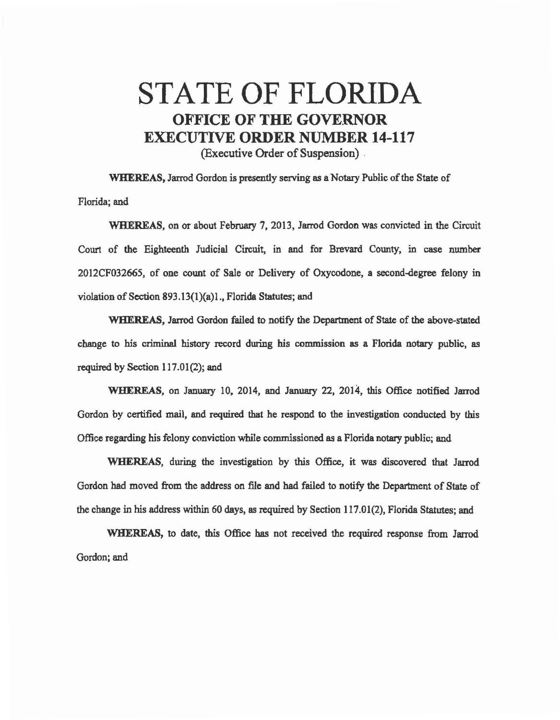## STATE OF FLORIDA OFFICE OF THE GOVERNOR EXECUTIVE ORDER NUMBER 14-117 (Executive Order of Suspension) .

WHEREAS, Jarrod Gordon is presently serving as a Notary Public of the State of Florida; and

WHEREAS, on or about February 7, 2013, Jarrod Gordon was convicted in the Circuit Court of the Eighteenth Judicial Circuit, in and for Brevard County, in case number 2012CF032665, of one count of Sale or Delivery of Oxycodone, a second-degree felony in violation of Section 893.13(l)(a)l., Florida Statutes; and

WHEREAS, Jarrod Gordon failed to notify the Department of State of the above-stated change to his criminal history record during his commission as a Florida notary public, as required by Section  $117.01(2)$ ; and

WHEREAS, on January 10, 2014, and January 22, 2014, this Office notified Jarrod Gordon by certified mail, and required that he respond to the investigation conducted by this Office regarding his felony conviction while commissioned as a Florida notary public; and

WHEREAS, during the investigation by this Office, it was discovered that Jarrod Gordon had moved from the address on file and had failed to notify the Department of State of the change in his address within 60 days, as required by Section 117.01(2), Florida Statutes; and

WHEREAS, to date, this Office has not received the required response from Jarrod Gordon; and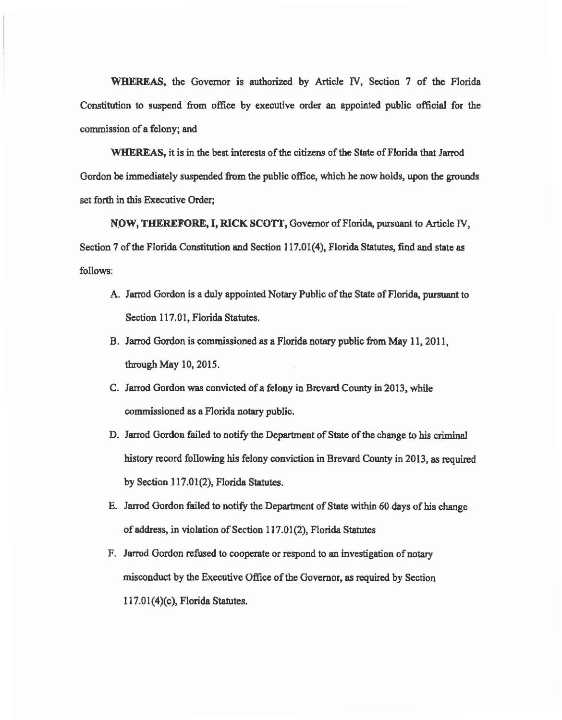WHEREAS, the Governor is authorized by Article IV, Section 7 of the Florida Constitution to suspend from office by executive order an appointed public official for the commission of a felony; and

WHEREAS, it is in the best interests of the citizens of the State of Florida that Jarrod Gordon be immediately suspended from the public office, which be now holds, upon the grounds set forth in this Executive Order;

NOW, THEREFORE, I, RICK SCOTT, Governor of Florida, pursuant to Article IV, Section 7 of the Florida Constitution and Section 117.01(4), Florida Statutes, find and state as follows:

- A. Jarrod Gordon is a duly appointed Notary Public of the State of Florida, pursuant to Section 117.01, Florida Statutes.
- B. Jarrod Gordon is commissioned es a Florida notary public from May 11, 2011, through May 10, 2015.
- C. Jarrod Gordon was convicted of a felony in Brevard County in 2013, while commissioned as a Florida notary public.
- D. Jarrod Gordon failed to notify the Department of State of the change to his criminal history record following his felony conviction in Brevard County in 2013, as required by Section 117.01(2), Florida Statutes.
- E. Jarrod Gordon failed to notify the Department of State within 60 days of his change of address, in violation of Section 117.01 (2), Florida Statutes
- F. Jarrod Gordon refused to cooperate or respond to an investigation of notary misconduct by the Executive Office of the Governor, as required by Section ll 7.01(4)(c), Florida Statutes.